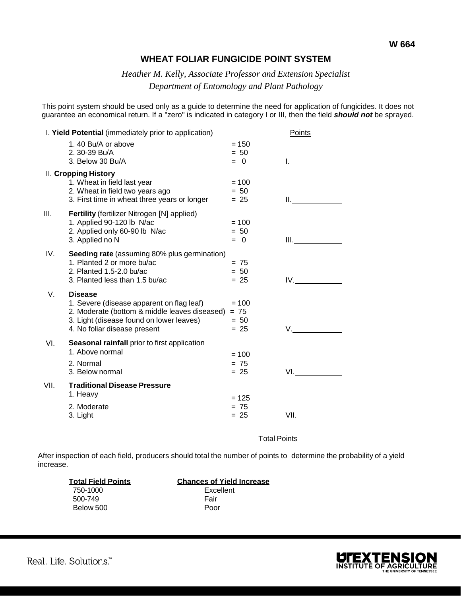## **WHEAT FOLIAR FUNGICIDE POINT SYSTEM**

## *Heather M. Kelly, Associate Professor and Extension Specialist Department of Entomology and Plant Pathology*

This point system should be used only as a guide to determine the need for application of fungicides. It does not guarantee an economical return. If a "zero" is indicated in category I or III, then the field *should not* be sprayed.

| I. Yield Potential (immediately prior to application) |                                                                          |                  | Points                                                                                                                                                                                                                         |
|-------------------------------------------------------|--------------------------------------------------------------------------|------------------|--------------------------------------------------------------------------------------------------------------------------------------------------------------------------------------------------------------------------------|
|                                                       | 1.40 Bu/A or above                                                       | $= 150$          |                                                                                                                                                                                                                                |
|                                                       | 2.30-39 Bu/A<br>3. Below 30 Bu/A                                         | $= 50$<br>$= 0$  |                                                                                                                                                                                                                                |
|                                                       |                                                                          |                  |                                                                                                                                                                                                                                |
|                                                       | <b>II. Cropping History</b><br>1. Wheat in field last year               | $= 100$          |                                                                                                                                                                                                                                |
|                                                       | 2. Wheat in field two years ago                                          | $= 50$           |                                                                                                                                                                                                                                |
|                                                       | 3. First time in wheat three years or longer                             | $= 25$           | II. San Antonio Station                                                                                                                                                                                                        |
| III.                                                  | Fertility (fertilizer Nitrogen [N] applied)                              |                  |                                                                                                                                                                                                                                |
|                                                       | 1. Applied 90-120 lb N/ac                                                | $= 100$          |                                                                                                                                                                                                                                |
|                                                       | 2. Applied only 60-90 lb N/ac                                            | $= 50$           |                                                                                                                                                                                                                                |
|                                                       | 3. Applied no N                                                          | $= 0$            | $III.$ The second contract of $\overline{a}$                                                                                                                                                                                   |
| IV.                                                   | Seeding rate (assuming 80% plus germination)                             |                  |                                                                                                                                                                                                                                |
|                                                       | 1. Planted 2 or more bu/ac                                               | $= 75$           |                                                                                                                                                                                                                                |
|                                                       | 2. Planted 1.5-2.0 bu/ac                                                 | $= 50$           |                                                                                                                                                                                                                                |
|                                                       | 3. Planted less than 1.5 bu/ac                                           | $= 25$           | IV.                                                                                                                                                                                                                            |
| V.                                                    | <b>Disease</b>                                                           |                  |                                                                                                                                                                                                                                |
|                                                       | 1. Severe (disease apparent on flag leaf)                                | $= 100$          |                                                                                                                                                                                                                                |
|                                                       | 2. Moderate (bottom & middle leaves diseased)                            | $= 75$           |                                                                                                                                                                                                                                |
|                                                       | 3. Light (disease found on lower leaves)<br>4. No foliar disease present | $= 50$<br>$= 25$ | V.                                                                                                                                                                                                                             |
|                                                       |                                                                          |                  |                                                                                                                                                                                                                                |
| VI.                                                   | Seasonal rainfall prior to first application<br>1. Above normal          |                  |                                                                                                                                                                                                                                |
|                                                       |                                                                          | $= 100$          |                                                                                                                                                                                                                                |
|                                                       | 2. Normal                                                                | $= 75$           |                                                                                                                                                                                                                                |
|                                                       | 3. Below normal                                                          | $= 25$           | VI. All and the state of the state of the state of the state of the state of the state of the state of the state of the state of the state of the state of the state of the state of the state of the state of the state of th |
| VII.                                                  | <b>Traditional Disease Pressure</b>                                      |                  |                                                                                                                                                                                                                                |
|                                                       | 1. Heavy                                                                 | $= 125$          |                                                                                                                                                                                                                                |
|                                                       | 2. Moderate                                                              | $= 75$           |                                                                                                                                                                                                                                |
|                                                       | 3. Light                                                                 | $= 25$           | VII. Andrew March 1997                                                                                                                                                                                                         |
|                                                       |                                                                          |                  |                                                                                                                                                                                                                                |
|                                                       |                                                                          |                  | <b>Total Points</b>                                                                                                                                                                                                            |

After inspection of each field, producers should total the number of points to determine the probability of a yield increase.

| <b>Total Field Points</b> | <b>Chances of Yield Increase</b> |
|---------------------------|----------------------------------|
| 750-1000                  | Excellent                        |
| 500-749                   | Fair                             |
| Below 500                 | Poor                             |